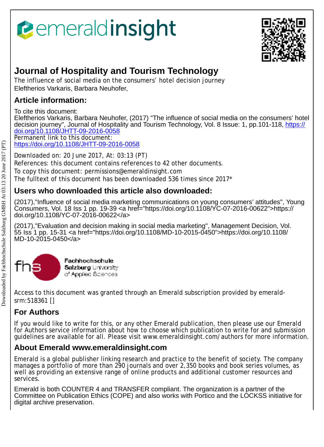# *<u><b>emeraldinsight</u>*



## **Journal of Hospitality and Tourism Technology**

The influence of social media on the consumers' hotel decision journey Eleftherios Varkaris, Barbara Neuhofer,

## **Article information:**

To cite this document:

Eleftherios Varkaris, Barbara Neuhofer, (2017) "The influence of social media on the consumers' hotel decision journey", Journal of Hospitality and Tourism Technology, Vol. 8 Issue: 1, pp.101-118, <u>[https://](https://doi.org/10.1108/JHTT-09-2016-0058)</u> [doi.org/10.1108/JHTT-09-2016-0058](https://doi.org/10.1108/JHTT-09-2016-0058) Permanent link to this document:

<https://doi.org/10.1108/JHTT-09-2016-0058>

Downloaded on: 20 June 2017, At: 03:13 (PT) References: this document contains references to 42 other documents.

To copy this document: permissions@emeraldinsight.com

The fulltext of this document has been downloaded 536 times since 2017\*

## **Users who downloaded this article also downloaded:**

(2017),"Influence of social media marketing communications on young consumers' attitudes", Young Consumers, Vol. 18 Iss 1 pp. 19-39 <a href="https://doi.org/10.1108/YC-07-2016-00622">https:// doi.org/10.1108/YC-07-2016-00622</a>

(2017),"Evaluation and decision making in social media marketing", Management Decision, Vol. 55 Iss 1 pp. 15-31 <a href="https://doi.org/10.1108/MD-10-2015-0450">https://doi.org/10.1108/ MD-10-2015-0450</a>



Access to this document was granted through an Emerald subscription provided by emeraldsrm:518361 []

## **For Authors**

If you would like to write for this, or any other Emerald publication, then please use our Emerald for Authors service information about how to choose which publication to write for and submission guidelines are available for all. Please visit www.emeraldinsight.com/authors for more information.

## **About Emerald www.emeraldinsight.com**

Emerald is a global publisher linking research and practice to the benefit of society. The company manages a portfolio of more than 290 journals and over 2,350 books and book series volumes, as well as providing an extensive range of online products and additional customer resources and services.

Emerald is both COUNTER 4 and TRANSFER compliant. The organization is a partner of the Committee on Publication Ethics (COPE) and also works with Portico and the LOCKSS initiative for digital archive preservation.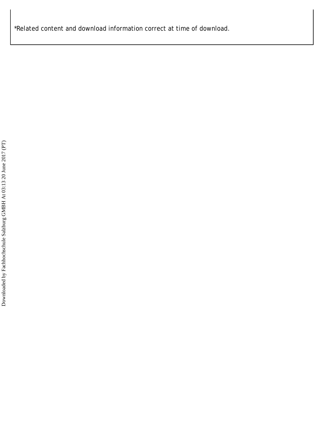\*Related content and download information correct at time of download.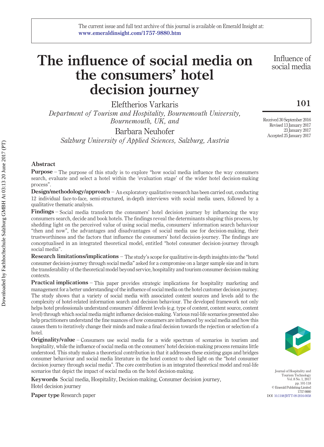## **The influence of social media on the consumers' hotel decision journey**

Eleftherios Varkaris *Department of Tourism and Hospitality, Bournemouth University, Bournemouth, UK, and*

Barbara Neuhofer *Salzburg University of Applied Sciences, Salzburg, Austria*

Influence of social media

## **101**

Received 30 September 2016 Revised 13 January 2017 23 January 2017 Accepted 25 January 2017

**Purpose** – The purpose of this study is to explore "how social media influence the way consumers search, evaluate and select a hotel within the 'evaluation stage' of the wider hotel decision-making process".

**Design/methodology/approach** – An exploratory qualitative research has been carried out, conducting 12 individual face-to-face, semi-structured, in-depth interviews with social media users, followed by a qualitative thematic analysis.

**Findings** – Social media transform the consumers' hotel decision journey by influencing the way consumers search, decide and book hotels. The findings reveal the determinants shaping this process, by shedding light on the perceived value of using social media, consumers' information search behaviour "then and now", the advantages and disadvantages of social media use for decision-making, their trustworthiness and the factors that influence the consumers' hotel decision-journey. The findings are conceptualised in an integrated theoretical model, entitled "hotel consumer decision-journey through social media".

**Research limitations/implications** – The study's scope for qualitative in-depth insights into the "hotel consumer decision-journey through social media" asked for a compromise on a larger sample size and in turn the transferability of the theoretical model beyond service, hospitality and tourism consumer decision-making contexts.

**Practical implications** – This paper provides strategic implications for hospitality marketing and management for a better understanding of the influence of social media on the hotel customer decision journey. The study shows that a variety of social media with associated content sources and levels add to the complexity of hotel-related information search and decision behaviour. The developed framework not only helps hotel professionals understand consumers' different levels (e.g. type of content, content source, content level) through which social media might influence decision-making. Various real-life scenarios presented also help practitioners understand the fine nuances of how consumers are influenced by social media and how this causes them to iteratively change their minds and make a final decision towards the rejection or selection of a hotel.

**Originality/value** – Consumers use social media for a wide spectrum of scenarios in tourism and hospitality, while the influence of social media on the consumers' hotel decision-making process remains little understood. This study makes a theoretical contribution in that it addresses these existing gaps and bridges consumer behaviour and social media literature in the hotel context to shed light on the "hotel consumer decision journey through social media". The core contribution is an integrated theoretical model and real-life scenarios that depict the impact of social media on the hotel decision-making.

**Keywords** Social media, Hospitality, Decision-making, Consumer decision journey, Hotel decision journey

**Paper type** Research paper

Journal of Hospitality and Tourism Technology Vol. 8 No. 1, 2017 pp. 101-118 © Emerald Publishing Limited 1757-9880 DOI [10.1108/JHTT-09-2016-0058](http://dx.doi.org/10.1108/JHTT-09-2016-0058)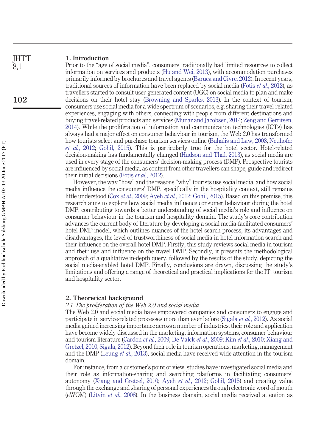#### **1. Introduction IHTT**

Prior to the "age of social media", consumers traditionally had limited resources to collect information on services and products [\(Hu and Wei, 2013\)](#page-17-0), with accommodation purchases primarily informed by brochures and travel agents [\(Baruca and Civre, 2012\)](#page-16-0). In recent years, traditional sources of information have been replaced by social media (Fotis *et al.*[, 2012\)](#page-16-1), as travellers started to consult user-generated content (UGC) on social media to plan and make decisions on their hotel stay [\(Browning and Sparks, 2013\)](#page-16-2). In the context of tourism, consumers use social media for a wide spectrum of scenarios, e.g. sharing their travel-related experiences, engaging with others, connecting with people from different destinations and buying travel-related products and services [\(Munar and Jacobsen, 2014;](#page-17-1) [Zeng and Gerritsen,](#page-18-0) [2014\)](#page-18-0). While the proliferation of information and communication technologies (ICTs) has always had a major effect on consumer behaviour in tourism, the Web 2.0 has transformed how tourists select and purchase tourism services online [\(Buhalis and Law, 2008;](#page-16-3) [Neuhofer](#page-17-2) *et al.*[, 2012;](#page-17-2) [Gohil, 2015\)](#page-16-4). This is particularly true for the hotel sector. Hotel-related decision-making has fundamentally changed [\(Hudson and Thal, 2013\)](#page-17-3), as social media are used in every stage of the consumers' decision-making process (DMP). Prospective tourists are influenced by social media, as content from other travellers can shape, guide and redirect their initial decisions (Fotis *et al.*[, 2012\)](#page-16-1).

However, the way "how" and the reasons "why" tourists use social media, and how social media influence the consumers' DMP, specifically in the hospitality context, still remains little understood (Cox *et al.*[, 2009;](#page-16-5) Ayeh *et al.*[, 2012;](#page-16-6) [Gohil, 2015\)](#page-16-4). Based on this premise, this research aims to explore how social media influence consumer behaviour during the hotel DMP, contributing towards a better understanding of social media's role and influence on consumer behaviour in the tourism and hospitality domain. The study's core contribution advances the current body of literature by developing a social media-facilitated consumers' hotel DMP model, which outlines nuances of the hotel search process, its advantages and disadvantages, the level of trustworthiness of social media in hotel information search and their influence on the overall hotel DMP. Firstly, this study reviews social media in tourism and their use and influence on the travel DMP. Secondly, it presents the methodological approach of a qualitative in-depth query, followed by the results of the study, depicting the social media-enabled hotel DMP. Finally, conclusions are drawn, discussing the study's limitations and offering a range of theoretical and practical implications for the IT, tourism and hospitality sector.

### **2. Theoretical background**

### *2.1 The proliferation of the Web 2.0 and social media*

The Web 2.0 and social media have empowered companies and consumers to engage and participate in service-related processes more than ever before [\(Sigala](#page-17-4) *et al.*, 2012). As social media gained increasing importance across a number of industries, their role and application have become widely discussed in the marketing, information systems, consumer behaviour and tourism literature [\(Cardon](#page-16-7) *et al.*, 2009; [De Valck](#page-16-8) *et al.*, 2009; Kim *et al.*[, 2010;](#page-17-5) [Xiang and](#page-18-1) [Gretzel, 2010;](#page-18-1) [Sigala, 2012\)](#page-17-6). Beyond their role in tourism operations, marketing, management and the DMP [\(Leung](#page-17-7) *et al.*, 2013), social media have received wide attention in the tourism domain.

For instance, from a customer's point of view, studies have investigated social media and their role as information-sharing and searching platforms in facilitating consumers' autonomy [\(Xiang and Gretzel, 2010;](#page-18-1) Ayeh *et al.*[, 2012;](#page-16-6) [Gohil, 2015\)](#page-16-4) and creating value through the exchange and sharing of personal experiences through electronic word of mouth (eWOM) (Litvin *et al.*[, 2008\)](#page-17-8). In the business domain, social media received attention as

8,1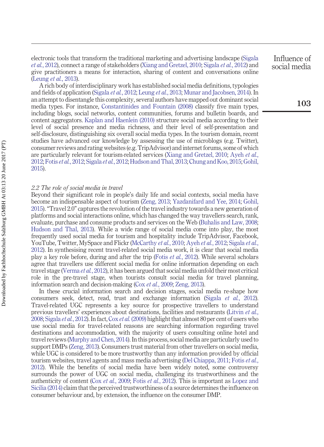electronic tools that transform the traditional marketing and advertising landscape [\(Sigala](#page-17-4) *et al.*[, 2012\)](#page-17-4), connect a range of stakeholders [\(Xiang and Gretzel, 2010;](#page-18-1) [Sigala](#page-17-4) *et al.*, 2012) and give practitioners a means for interaction, sharing of content and conversations online [\(Leung](#page-17-7) *et al.*, 2013).

A rich body of interdisciplinary work has established social media definitions, typologies and fields of application [\(Sigala](#page-17-4) *et al.*, 2012; [Leung](#page-17-7) *et al.*, 2013; [Munar and Jacobsen, 2014\)](#page-17-1). In an attempt to disentangle this complexity, several authors have mapped out dominant social media types. For instance, [Constantinides and Fountain \(2008\)](#page-16-9) classify five main types, including blogs, social networks, content communities, forums and bulletin boards, and content aggregators. [Kaplan and Haenlein \(2010\)](#page-17-9) structure social media according to their level of social presence and media richness, and their level of self-presentation and self-disclosure, distinguishing six overall social media types. In the tourism domain, recent studies have advanced our knowledge by assessing the use of microblogs (e.g. Twitter), consumer reviews and rating websites (e.g. TripAdvisor) and internet forums, some of which are particularly relevant for tourism-related services [\(Xiang and Gretzel, 2010;](#page-18-1) [Ayeh](#page-16-6) *et al.*, [2012;](#page-16-6) Fotis *et al.*[, 2012;](#page-16-1) [Sigala](#page-17-4) *et al.*, 2012; [Hudson and Thal, 2013;](#page-17-3) [Chung and Koo, 2015;](#page-16-10) [Gohil,](#page-16-4) [2015\)](#page-16-4).

#### *2.2 The role of social media in travel*

Beyond their significant role in people's daily life and social contexts, social media have become an indispensable aspect of tourism [\(Zeng, 2013;](#page-18-2) [Yazdanifard and Yee, 2014;](#page-18-3) [Gohil,](#page-16-4) [2015\)](#page-16-4). "Travel 2.0" captures the revolution of the travel industry towards a new generation of platforms and social interactions online, which has changed the way travellers search, rank, evaluate, purchase and consume products and services on the Web [\(Buhalis and Law, 2008;](#page-16-3) [Hudson and Thal, 2013\)](#page-17-3). While a wide range of social media come into play, the most frequently used social media for tourism and hospitality include TripAdvisor, Facebook, YouTube, Twitter, MySpace and Flickr [\(McCarthy](#page-17-10) *et al.*, 2010; Ayeh *et al.*[, 2012;](#page-16-6) [Sigala](#page-17-4) *et al.*, [2012\)](#page-17-4). In synthesising recent travel-related social media work, it is clear that social media play a key role before, during and after the trip (Fotis *et al.*[, 2012\)](#page-16-1). While several scholars agree that travellers use different social media for online information depending on each travel stage [\(Verma](#page-18-4) *et al.*, 2012), it has been argued that social media unfold their most critical role in the pre-travel stage, when tourists consult social media for travel planning, information search and decision-making (Cox *et al.*[, 2009;](#page-16-5) [Zeng, 2013\)](#page-18-2).

In these crucial information search and decision stages, social media re-shape how consumers seek, detect, read, trust and exchange information (Sigala *et al.*[, 2012\)](#page-17-4). Travel-related UGC represents a key source for prospective travellers to understand previous travellers' experiences about destinations, facilities and restaurants [\(Litvin](#page-17-8) *et al.*, [2008;](#page-17-8) [Sigala](#page-17-4) *et al.*, 2012). In fact, Cox *et al.* [\(2009\)](#page-16-5) highlight that almost 80 per cent of users who use social media for travel-related reasons are searching information regarding travel destinations and accommodation, with the majority of users consulting online hotel and travel reviews [\(Murphy and Chen, 2014\)](#page-17-11). In this process, social media are particularly used to support DMPs [\(Zeng, 2013\)](#page-18-2). Consumers trust material from other travellers on social media, while UGC is considered to be more trustworthy than any information provided by official tourism websites, travel agents and mass media advertising [\(Del Chiappa, 2011;](#page-16-11) [Fotis](#page-16-1) *et al.*, [2012\)](#page-16-1). While the benefits of social media have been widely noted, some controversy surrounds the power of UGC on social media, challenging its trustworthiness and the authenticity of content (Cox *et al.*[, 2009;](#page-16-5) Fotis *et al.*[, 2012\)](#page-16-1). This is important as [Lopez and](#page-17-12) [Sicilia \(2014\)](#page-17-12) claim that the perceived trustworthiness of a source determines the influence on consumer behaviour and, by extension, the influence on the consumer DMP.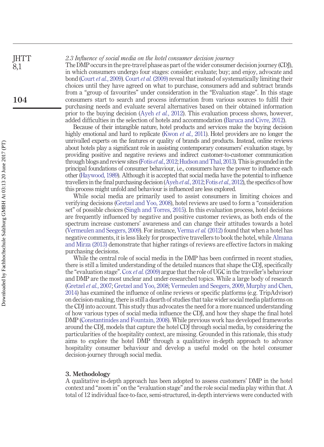*2.3 Influence of social media on the hotel consumer decision journey* The DMP occurs in the pre-travel phase as part of the wider consumer decision journey (CDJ), in which consumers undergo four stages: consider; evaluate; buy; and enjoy, advocate and bond (Court *et al.*[, 2009\)](#page-16-12). Court *et al.* [\(2009\)](#page-16-12) reveal that instead of systematically limiting their choices until they have agreed on what to purchase, consumers add and subtract brands from a "group of favourites" under consideration in the "Evaluation stage". In this stage consumers start to search and process information from various sources to fulfil their purchasing needs and evaluate several alternatives based on their obtained information prior to the buying decision (Ayeh *et al.*[, 2012\)](#page-16-6). This evaluation process shows, however, added difficulties in the selection of hotels and accommodation [\(Baruca and Civre, 2012\)](#page-16-0). **104**

> Because of their intangible nature, hotel products and services make the buying decision highly emotional and hard to replicate (Kwon *et al.*[, 2011\)](#page-17-13). Hotel providers are no longer the unrivalled experts on the features or quality of brands and products. Instead, online reviews about hotels play a significant role in assisting contemporary consumers' evaluation stage, by providing positive and negative reviews and indirect customer-to-customer communication through blogs and review sites (Fotis *et al.*[, 2012;](#page-16-1) [Hudson and Thal, 2013\)](#page-17-3). This is grounded in the principal foundations of consumer behaviour, i.e., consumers have the power to influence each other [\(Haywood, 1989\)](#page-17-14). Although it is accepted that social media have the potential to influence travellers in the final purchasing decision (Ayeh *et al.*[, 2012;](#page-16-6) Fotis *et al.*[, 2012\)](#page-16-1), the specifics of how this process might unfold and behaviour is influenced are less explored.

> While social media are primarily used to assist consumers in limiting choices and verifying decisions [\(Gretzel and Yoo, 2008\)](#page-16-13), hotel reviews are used to form a "consideration set" of possible choices [\(Singh and Torres, 2015\)](#page-17-15). In this evaluation process, hotel decisions are frequently influenced by negative and positive customer reviews, as both ends of the spectrum increase customers' awareness and can change their attitudes towards a hotel [\(Vermeulen and Seegers, 2009\)](#page-18-5). For instance, [Verma](#page-18-4) *et al.* (2012) found that when a hotel has negative comments, it is less likely for prospective travellers to book the hotel, while [Almana](#page-16-14) [and Mirza \(2013\)](#page-16-14) demonstrate that higher ratings of reviews are effective factors in making purchasing decisions.

> While the central role of social media in the DMP has been confirmed in recent studies, there is still a limited understanding of the detailed nuances that shape the CDJ, specifically the "evaluation stage". Cox *et al.* [\(2009\)](#page-16-5) argue that the role of UGC in the traveller's behaviour and DMP are the most unclear and under-researched topics. While a large body of research [\(Gretzel](#page-17-16) *et al.*, 2007; [Gretzel and Yoo, 2008;](#page-16-13) [Vermeulen and Seegers, 2009,](#page-18-5) [Murphy and Chen,](#page-17-11) [2014\)](#page-17-11) has examined the influence of online reviews or specific platforms (e.g. TripAdvisor) on decision-making, there is still a dearth of studies that take wider social media platforms on the CDJ into account. This study thus advocates the need for a more nuanced understanding of how various types of social media influence the CDJ, and how they shape the final hotel DMP [\(Constantinides and Fountain, 2008\)](#page-16-9). While previous work has developed frameworks around the CDJ, models that capture the hotel CDJ through social media, by considering the particularities of the hospitality context, are missing. Grounded in this rationale, this study aims to explore the hotel DMP through a qualitative in-depth approach to advance hospitality consumer behaviour and develop a useful model on the hotel consumer decision-journey through social media.

#### **3. Methodology**

A qualitative in-depth approach has been adopted to assess customers' DMP in the hotel context and "zoom in" on the "evaluation stage" and the role social media play within that. A total of 12 individual face-to-face, semi-structured, in-depth interviews were conducted with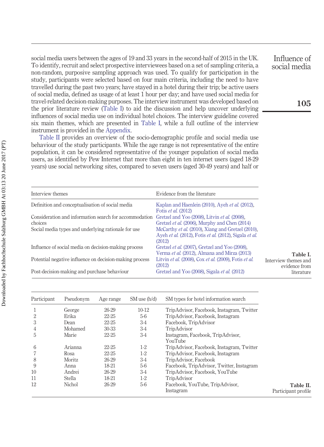social media users between the ages of 19 and 33 years in the second-half of 2015 in the UK. To identify, recruit and select prospective interviewees based on a set of sampling criteria, a non-random, purposive sampling approach was used. To qualify for participation in the study, participants were selected based on four main criteria, including the need to have travelled during the past two years; have stayed in a hotel during their trip; be active users of social media, defined as usage of at least 1 hour per day; and have used social media for travel-related decision-making purposes. The interview instrument was developed based on the prior literature review [\(Table I\)](#page-6-0) to aid the discussion and help uncover underlying influences of social media use on individual hotel choices. The interview guideline covered six main themes, which are presented in [Table I,](#page-6-0) while a full outline of the interview instrument is provided in the [Appendix.](#page-18-6)

[Table II](#page-6-1) provides an overview of the socio-demographic profile and social media use behaviour of the study participants. While the age range is not representative of the entire population, it can be considered representative of the younger population of social media users, as identified by Pew Internet that more than eight in ten internet users (aged 18-29 years) use social networking sites, compared to seven users (aged 30-49 years) and half or

<span id="page-6-0"></span>**Table I.** Interview themes and evidence from literature Interview themes Evidence from the literature Definition and conceptualisation of social media [Kaplan and Haenlein \(2010\),](#page-17-9) Ayeh *et al.* [\(2012\),](#page-16-6) Fotis *et al.* [\(2012\)](#page-16-1) Consideration and information search for accommodation [Gretzel and Yoo \(2008\),](#page-16-13) Litvin *et al.* [\(2008\),](#page-17-8) choices [Gretzel](#page-16-15) *et al.* (2006), [Murphy and Chen \(2014\)](#page-17-11) Social media types and underlying rationale for use [McCarthy](#page-17-10) *et al.* (2010), [Xiang and Gretzel \(2010\),](#page-18-1) Ayeh *et al.* [\(2012\),](#page-16-6) Fotis *et al.* [\(2012\),](#page-16-1) [Sigala](#page-17-4) *et al.* [\(2012\)](#page-17-4) Influence of social media on decision-making process [Gretzel](#page-17-16) *et al.* (2007), [Gretzel and Yoo \(2008\),](#page-16-13) [Verma](#page-18-4) *et al.* (2012), [Almana and Mirza \(2013\)](#page-16-14) Potential negative influence on decision-making process Litvin *et al.* [\(2008\),](#page-17-8) Cox *et al.* [\(2009\),](#page-16-5) [Fotis](#page-16-1) *et al.* [\(2012\)](#page-16-1) Post-decision-making and purchase behaviour [Gretzel and Yoo \(2008\),](#page-16-13) [Sigala](#page-17-4) *et al.* (2012)

<span id="page-6-1"></span>

| Participant | Pseudonym     | Age range | SM use (h/d) | SM types for hotel information search        |                                  |
|-------------|---------------|-----------|--------------|----------------------------------------------|----------------------------------|
|             | George        | 26-29     | $10-12$      | TripAdvisor, Facebook, Instagram, Twitter    |                                  |
| 2           | Erika         | 22-25     | 5-6          | TripAdvisor, Facebook, Instagram             |                                  |
| 3           | Dean          | $22 - 25$ | $3-4$        | Facebook, TripAdvisor                        |                                  |
| 4           | Mohamed       | 30-33     | 3-4          | TripAdvisor                                  |                                  |
| 5           | Marie         | 22-25     | 3-4          | Instagram, Facebook, TripAdvisor,<br>YouTube |                                  |
| 6           | Arianna       | 22-25     | $1-2$        | TripAdvisor, Facebook, Instagram, Twitter    |                                  |
|             | Rosa          | $22 - 25$ | $1-2$        | TripAdvisor, Facebook, Instagram             |                                  |
| 8           | Moritz        | 26-29     | 3-4          | TripAdvisor, Facebook                        |                                  |
| 9           | Anna          | 18-21     | $5-6$        | Facebook, TripAdvisor, Twitter, Instagram    |                                  |
| 10          | Andrei        | 26-29     | 3-4          | TripAdvisor, Facebook, YouTube               |                                  |
| 11          | <b>Stella</b> | 18-21     | $1-2$        | TripAdvisor                                  |                                  |
| 12          | Nichol        | 26-29     | 5-6          | Facebook, YouTube, TripAdvisor,<br>Instagram | Table II.<br>Participant profile |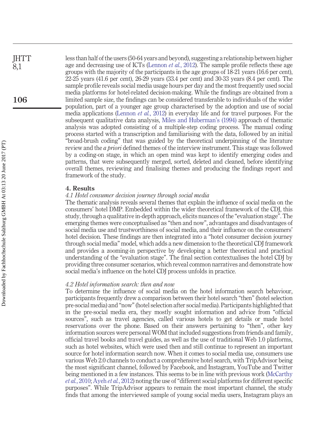less than half of the users (50-64 years and beyond), suggesting a relationship between higher age and decreasing use of ICTs [\(Lennon](#page-17-17) *et al.*, 2012). The sample profile reflects these age groups with the majority of the participants in the age groups of 18-21 years (16.6 per cent), 22-25 years (41.6 per cent), 26-29 years (33.4 per cent) and 30-33 years (8.4 per cent). The sample profile reveals social media usage hours per day and the most frequently used social media platforms for hotel-related decision-making. While the findings are obtained from a limited sample size, the findings can be considered transferable to individuals of the wider population, part of a younger age group characterised by the adoption and use of social media applications [\(Lennon](#page-17-17) *et al.*, 2012) in everyday life and for travel purposes. For the subsequent qualitative data analysis, [Miles and Huberman's \(1994\)](#page-17-18) approach of thematic analysis was adopted consisting of a multiple-step coding process. The manual coding process started with a transcription and familiarising with the data, followed by an initial "broad-brush coding" that was guided by the theoretical underpinning of the literature review and the *a priori* defined themes of the interview instrument. This stage was followed by a coding-on stage, in which an open mind was kept to identify emerging codes and patterns, that were subsequently merged, sorted, deleted and cleaned, before identifying overall themes, reviewing and finalising themes and producing the findings report and framework of the study.

#### **4. Results**

#### *4.1 Hotel consumer decision journey through social media*

The thematic analysis reveals several themes that explain the influence of social media on the consumers' hotel DMP. Embedded within the wider theoretical framework of the CDJ, this study, through a qualitative in-depth approach, elicits nuances of the "evaluation stage". The emerging themes were conceptualised as "then and now", advantages and disadvantages of social media use and trustworthiness of social media, and their influence on the consumers' hotel decision. These findings are then integrated into a "hotel consumer decision journey through social media" model, which adds a new dimension to the theoretical CDJ framework and provides a zooming-in perspective by developing a better theoretical and practical understanding of the "evaluation stage". The final section contextualises the hotel CDJ by providing three consumer scenarios, which reveal common narratives and demonstrate how social media's influence on the hotel CDJ process unfolds in practice.

#### *4.2 Hotel information search: then and now*

To determine the influence of social media on the hotel information search behaviour, participants frequently drew a comparison between their hotel search "then" (hotel selection pre-social media) and "now" (hotel selection after social media). Participants highlighted that in the pre-social media era, they mostly sought information and advice from "official sources", such as travel agencies, called various hotels to get details or made hotel reservations over the phone. Based on their answers pertaining to "then", other key information sources were personal WOM that included suggestions from friends and family, official travel books and travel guides, as well as the use of traditional Web 1.0 platforms, such as hotel websites, which were used then and still continue to represent an important source for hotel information search now. When it comes to social media use, consumers use various Web 2.0 channels to conduct a comprehensive hotel search, with TripAdvisor being the most significant channel, followed by Facebook, and Instagram, YouTube and Twitter being mentioned in a few instances. This seems to be in line with previous work [\(McCarthy](#page-17-10) *et al.*[, 2010;](#page-17-10) Ayeh *et al.*[, 2012\)](#page-16-6) noting the use of "different social platforms for different specific purposes". While TripAdvisor appears to remain the most important channel, the study finds that among the interviewed sample of young social media users, Instagram plays an

**106**

**IHTT** 8,1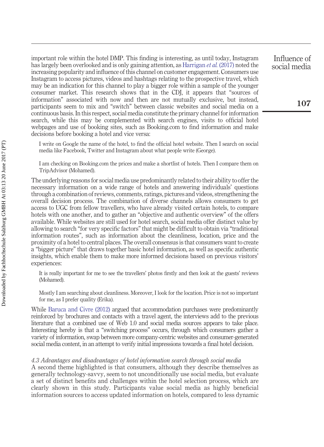important role within the hotel DMP. This finding is interesting, as until today, Instagram has largely been overlooked and is only gaining attention, as [Harrigan](#page-17-19) *et al.* (2017) noted the increasing popularity and influence of this channel on customer engagement. Consumers use Instagram to access pictures, videos and hashtags relating to the prospective travel, which may be an indication for this channel to play a bigger role within a sample of the younger consumer market. This research shows that in the CDJ, it appears that "sources of information" associated with now and then are not mutually exclusive, but instead, participants seem to mix and "switch" between classic websites and social media on a continuous basis. In this respect, social media constitute the primary channel for information search, while this may be complemented with search engines, visits to official hotel webpages and use of booking sites, such as Booking.com to find information and make decisions before booking a hotel and vice versa:

I write on Google the name of the hotel, to find the official hotel website. Then I search on social media like Facebook, Twitter and Instagram about what people write (George).

I am checking on Booking.com the prices and make a shortlist of hotels. Then I compare them on TripAdvisor (Mohamed).

The underlying reasons for social media use predominantly related to their ability to offer the necessary information on a wide range of hotels and answering individuals' questions through a combination of reviews, comments, ratings, pictures and videos, strengthening the overall decision process. The combination of diverse channels allows consumers to get access to UGC from fellow travellers, who have already visited certain hotels, to compare hotels with one another, and to gather an "objective and authentic overview" of the offers available. While websites are still used for hotel search, social media offer distinct value by allowing to search "for very specific factors" that might be difficult to obtain via "traditional information routes", such as information about the cleanliness, location, price and the proximity of a hotel to central places. The overall consensus is that consumers want to create a "bigger picture" that draws together basic hotel information, as well as specific authentic insights, which enable them to make more informed decisions based on previous visitors' experiences:

It is really important for me to see the travellers' photos firstly and then look at the guests' reviews (Mohamed).

Mostly I am searching about cleanliness. Moreover, I look for the location. Price is not so important for me, as I prefer quality (Erika).

While [Baruca and Civre \(2012\)](#page-16-0) argued that accommodation purchases were predominantly reinforced by brochures and contacts with a travel agent, the interviews add to the previous literature that a combined use of Web 1.0 and social media sources appears to take place. Interesting hereby is that a "switching process" occurs, through which consumers gather a variety of information, swap between more company-centric websites and consumer-generated social media content, in an attempt to verify initial impressions towards a final hotel decision.

#### *4.3 Advantages and disadvantages of hotel information search through social media*

A second theme highlighted is that consumers, although they describe themselves as generally technology-savvy, seem to not unconditionally use social media, but evaluate a set of distinct benefits and challenges within the hotel selection process, which are clearly shown in this study. Participants value social media as highly beneficial information sources to access updated information on hotels, compared to less dynamic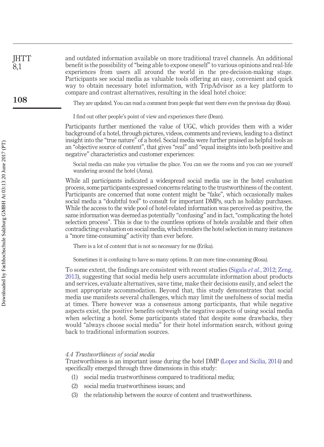and outdated information available on more traditional travel channels. An additional benefit is the possibility of "being able to expose oneself" to various opinions and real-life experiences from users all around the world in the pre-decision-making stage. Participants see social media as valuable tools offering an easy, convenient and quick way to obtain necessary hotel information, with TripAdvisor as a key platform to compare and contrast alternatives, resulting in the ideal hotel choice:

They are updated. You can read a comment from people that went there even the previous day (Rosa).

I find out other people's point of view and experiences there (Dean).

Participants further mentioned the value of UGC, which provides them with a wider background of a hotel, through pictures, videos, comments and reviews, leading to a distinct insight into the "true nature" of a hotel. Social media were further praised as helpful tools as an "objective source of content", that gives "real" and "equal insights into both positive and negative" characteristics and customer experiences:

Social media can make you virtualise the place. You can see the rooms and you can see yourself wandering around the hotel (Anna).

While all participants indicated a widespread social media use in the hotel evaluation process, some participants expressed concerns relating to the trustworthiness of the content. Participants are concerned that some content might be "fake", which occasionally makes social media a "doubtful tool" to consult for important DMPs, such as holiday purchases. While the access to the wide pool of hotel-related information was perceived as positive, the same information was deemed as potentially "confusing" and in fact, "complicating the hotel selection process". This is due to the countless options of hotels available and their often contradicting evaluation on social media, which renders the hotel selection in many instances a "more time-consuming" activity than ever before.

There is a lot of content that is not so necessary for me (Erika).

Sometimes it is confusing to have so many options. It can more time-consuming (Rosa).

To some extent, the findings are consistent with recent studies [\(Sigala](#page-17-4) *et al.*, 2012; [Zeng,](#page-18-2) [2013\)](#page-18-2), suggesting that social media help users accumulate information about products and services, evaluate alternatives, save time, make their decisions easily, and select the most appropriate accommodation. Beyond that, this study demonstrates that social media use manifests several challenges, which may limit the usefulness of social media at times. There however was a consensus among participants, that while negative aspects exist, the positive benefits outweigh the negative aspects of using social media when selecting a hotel. Some participants stated that despite some drawbacks, they would "always choose social media" for their hotel information search, without going back to traditional information sources.

#### *4.4 Trustworthiness of social media*

Trustworthiness is an important issue during the hotel DMP [\(Lopez and Sicilia, 2014\)](#page-17-12) and specifically emerged through three dimensions in this study:

- (1) social media trustworthiness compared to traditional media;
- (2) social media trustworthiness issues; and
- (3) the relationship between the source of content and trustworthiness.

**IHTT** 8,1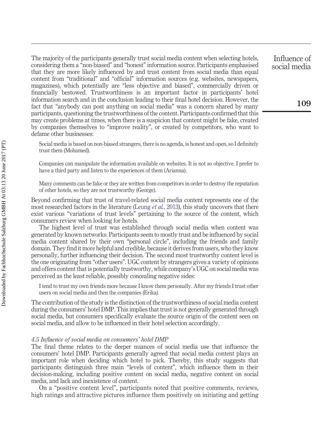The majority of the participants generally trust social media content when selecting hotels, considering them a "non-biased" and "honest" information source. Participants emphasised that they are more likely influenced by and trust content from social media than equal content from "traditional" and "official" information sources (e.g. websites, newspapers, magazines), which potentially are "less objective and biased", commercially driven or financially bestowed. Trustworthiness is an important factor in participants' hotel information search and in the conclusion leading to their final hotel decision. However, the fact that "anybody can post anything on social media" was a concern shared by many participants, questioning the trustworthiness of the content. Participants confirmed that this may create problems at times, when there is a suspicion that content might be fake, created by companies themselves to "improve reality", or created by competitors, who want to defame other businesses:

Social media is based on non-biased strangers, there is no agenda, is honest and open, so I definitely trust them (Mohamed).

Companies can manipulate the information available on websites. It is not so objective. I prefer to have a third party and listen to the experiences of them (Arianna).

Many comments can be fake or they are written from competitors in order to destroy the reputation of other hotels, so they are not trustworthy (George).

Beyond confirming that trust of travel-related social media content represents one of the most researched factors in the literature [\(Leung](#page-17-7) *et al.*, 2013), this study uncovers that there exist various "variations of trust levels" pertaining to the source of the content, which consumers review when looking for hotels.

The highest level of trust was established through social media when content was generated by known networks. Participants seem to mostly trust and be influenced by social media content shared by their own "personal circle", including the friends and family domain. They find it more helpful and credible, because it derives from users, who they know personally, further influencing their decision. The second most trustworthy content level is the one originating from "other users". UGC content by strangers gives a variety of opinions and offers content that is potentially trustworthy, while company's UGC on social media was perceived as the least reliable, possibly concealing negative sides:

I tend to trust my own friends more because I know them personally. After my friends I trust other users on social media and then the companies (Erika).

The contribution of the study is the distinction of the trustworthiness of social media content during the consumers' hotel DMP. This implies that trust is not generally generated through social media, but consumers specifically evaluate the source origin of the content seen on social media, and allow to be influenced in their hotel selection accordingly.

#### *4.5 Influence of social media on consumers' hotel DMP*

The final theme relates to the deeper nuances of social media use that influence the consumers' hotel DMP. Participants generally agreed that social media content plays an important role when deciding which hotel to pick. Thereby, this study suggests that participants distinguish three main "levels of content", which influence them in their decision-making, including positive content on social media, negative content on social media, and lack and inexistence of content.

On a "positive content level", participants noted that positive comments, reviews, high ratings and attractive pictures influence them positively on initiating and getting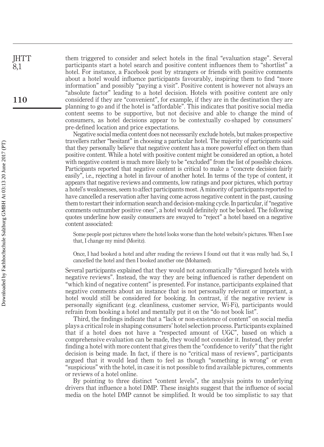them triggered to consider and select hotels in the final "evaluation stage". Several participants start a hotel search and positive content influences them to "shortlist" a hotel. For instance, a Facebook post by strangers or friends with positive comments about a hotel would influence participants favourably, inspiring them to find "more information" and possibly "paying a visit". Positive content is however not always an "absolute factor" leading to a hotel decision. Hotels with positive content are only considered if they are "convenient", for example, if they are in the destination they are planning to go and if the hotel is "affordable". This indicates that positive social media content seems to be supportive, but not decisive and able to change the mind of consumers, as hotel decisions appear to be contextually co-shaped by consumers' pre-defined location and price expectations.

Negative social media content does not necessarily exclude hotels, but makes prospective travellers rather "hesitant" in choosing a particular hotel. The majority of participants said that they personally believe that negative content has a more powerful effect on them than positive content. While a hotel with positive content might be considered an option, a hotel with negative content is much more likely to be "excluded" from the list of possible choices. Participants reported that negative content is critical to make a "concrete decision fairly easily", i.e., rejecting a hotel in favour of another hotel. In terms of the type of content, it appears that negative reviews and comments, low ratings and poor pictures, which portray a hotel's weaknesses, seem to affect participants most. A minority of participants reported to have cancelled a reservation after having come across negative content in the past, causing them to restart their information search and decision-making cycle. In particular, if "negative comments outnumber positive ones", a hotel would definitely not be booked. The following quotes underline how easily consumers are swayed to "reject" a hotel based on a negative content associated:

Some people post pictures where the hotel looks worse than the hotel website's pictures. When I see that, I change my mind (Moritz).

Once, I had booked a hotel and after reading the reviews I found out that it was really bad. So, I cancelled the hotel and then I booked another one (Mohamed).

Several participants explained that they would not automatically "disregard hotels with negative reviews". Instead, the way they are being influenced is rather dependent on "which kind of negative content" is presented. For instance, participants explained that negative comments about an instance that is not personally relevant or important, a hotel would still be considered for booking. In contrast, if the negative review is personally significant (e.g. cleanliness, customer service, Wi-Fi), participants would refrain from booking a hotel and mentally put it on the "do not book list".

Third, the findings indicate that a "lack or non-existence of content" on social media plays a critical role in shaping consumers' hotel selection process. Participants explained that if a hotel does not have a "respected amount of UGC", based on which a comprehensive evaluation can be made, they would not consider it. Instead, they prefer finding a hotel with more content that gives them the "confidence to verify" that the right decision is being made. In fact, if there is no "critical mass of reviews", participants argued that it would lead them to feel as though "something is wrong" or even "suspicious" with the hotel, in case it is not possible to find available pictures, comments or reviews of a hotel online.

By pointing to three distinct "content levels", the analysis points to underlying drivers that influence a hotel DMP. These insights suggest that the influence of social media on the hotel DMP cannot be simplified. It would be too simplistic to say that

**IHTT** 8,1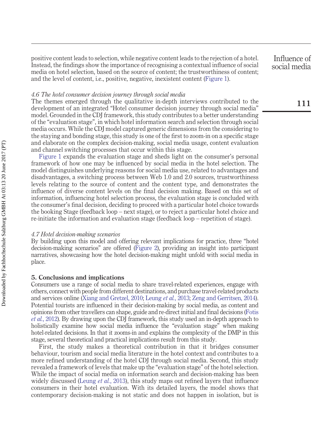positive content leads to selection, while negative content leads to the rejection of a hotel. Instead, the findings show the importance of recognising a contextual influence of social media on hotel selection, based on the source of content; the trustworthiness of content; and the level of content, i.e., positive, negative, inexistent content [\(Figure 1\)](#page-13-0).

### *4.6 The hotel consumer decision journey through social media*

The themes emerged through the qualitative in-depth interviews contributed to the development of an integrated "Hotel consumer decision journey through social media" model. Grounded in the CDJ framework, this study contributes to a better understanding of the "evaluation stage", in which hotel information search and selection through social media occurs. While the CDJ model captured generic dimensions from the considering to the staying and bonding stage, this study is one of the first to zoom-in on a specific stage and elaborate on the complex decision-making, social media usage, content evaluation and channel switching processes that occur within this stage.

[Figure 1](#page-13-0) expands the evaluation stage and sheds light on the consumer's personal framework of how one may be influenced by social media in the hotel selection. The model distinguishes underlying reasons for social media use, related to advantages and disadvantages, a switching process between Web 1.0 and 2.0 sources, trustworthiness levels relating to the source of content and the content type, and demonstrates the influence of diverse content levels on the final decision making. Based on this set of information, influencing hotel selection process, the evaluation stage is concluded with the consumer's final decision, deciding to proceed with a particular hotel choice towards the booking Stage (feedback loop – next stage), or to reject a particular hotel choice and re-initiate the information and evaluation stage (feedback loop – repetition of stage).

#### *4.7 Hotel decision-making scenarios*

By building upon this model and offering relevant implications for practice, three "hotel decision-making scenarios" are offered [\(Figure 2\)](#page-14-0), providing an insight into participant narratives, showcasing how the hotel decision-making might unfold with social media in place.

#### **5. Conclusions and implications**

Consumers use a range of social media to share travel-related experiences, engage with others, connect with people from different destinations, and purchase travel-related products and services online [\(Xiang and Gretzel, 2010;](#page-18-1) [Leung](#page-17-7) *et al.*, 2013; [Zeng and Gerritsen, 2014\)](#page-18-0). Potential tourists are influenced in their decision-making by social media, as content and opinions from other travellers can shape, guide and re-direct initial and final decisions [\(Fotis](#page-16-1) *et al.*[, 2012\)](#page-16-1). By drawing upon the CDJ framework, this study used an in-depth approach to holistically examine how social media influence the "evaluation stage" when making hotel-related decisions. In that it zooms-in and explains the complexity of the DMP in this stage, several theoretical and practical implications result from this study.

First, the study makes a theoretical contribution in that it bridges consumer behaviour, tourism and social media literature in the hotel context and contributes to a more refined understanding of the hotel CDJ through social media. Second, this study revealed a framework of levels that make up the "evaluation stage" of the hotel selection. While the impact of social media on information search and decision-making has been widely discussed [\(Leung](#page-17-7) *et al.*, 2013), this study maps out refined layers that influence consumers in their hotel evaluation. With its detailed layers, the model shows that contemporary decision-making is not static and does not happen in isolation, but is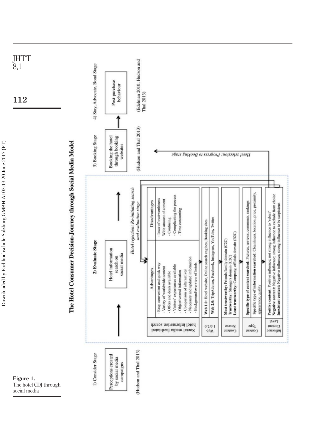

<span id="page-13-0"></span>The hotel CDJ through social media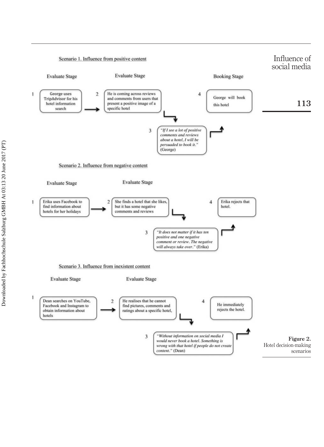<span id="page-14-0"></span>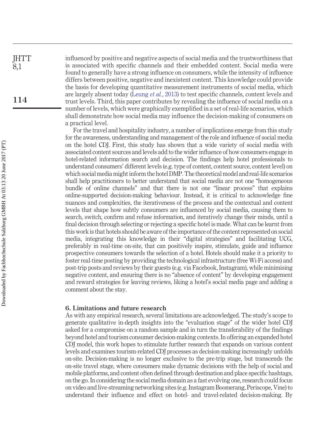influenced by positive and negative aspects of social media and the trustworthiness that is associated with specific channels and their embedded content. Social media were found to generally have a strong influence on consumers, while the intensity of influence differs between positive, negative and inexistent content. This knowledge could provide the basis for developing quantitative measurement instruments of social media, which are largely absent today [\(Leung](#page-17-7) *et al.*, 2013) to test specific channels, content levels and trust levels. Third, this paper contributes by revealing the influence of social media on a number of levels, which were graphically exemplified in a set of real-life scenarios, which shall demonstrate how social media may influence the decision-making of consumers on a practical level.

For the travel and hospitality industry, a number of implications emerge from this study for the awareness, understanding and management of the role and influence of social media on the hotel CDJ. First, this study has shown that a wide variety of social media with associated content sources and levels add to the wider influence of how consumers engage in hotel-related information search and decision. The findings help hotel professionals to understand consumers' different levels (e.g. type of content, content source, content level) on which social media might inform the hotel DMP. The theoretical model and real-life scenarios shall help practitioners to better understand that social media are not one "homogeneous bundle of online channels" and that there is not one "linear process" that explains online-supported decision-making behaviour. Instead, it is critical to acknowledge fine nuances and complexities, the iterativeness of the process and the contextual and content levels that shape how subtly consumers are influenced by social media, causing them to search, switch, confirm and refuse information, and iteratively change their minds, until a final decision through selecting or rejecting a specific hotel is made. What can be learnt from this work is that hotels should be aware of the importance of the content represented on social media, integrating this knowledge in their "digital strategies" and facilitating UCG, preferably in real-time on-site, that can positively inspire, stimulate, guide and influence prospective consumers towards the selection of a hotel. Hotels should make it a priority to foster real-time posting by providing the technological infrastructure (free Wi-Fi access) and post-trip posts and reviews by their guests (e.g. via Facebook, Instagram), while minimising negative content, and ensuring there is no "absence of content" by developing engagement and reward strategies for leaving reviews, liking a hotel's social media page and adding a comment about the stay.

#### **6. Limitations and future research**

As with any empirical research, several limitations are acknowledged. The study's scope to generate qualitative in-depth insights into the "evaluation stage" of the wider hotel CDJ asked for a compromise on a random sample and in turn the transferability of the findings beyond hotel and tourism consumer decision-making contexts. In offering an expanded hotel CDJ model, this work hopes to stimulate further research that expands on various content levels and examines tourism-related CDJ processes as decision-making increasingly unfolds on-site. Decision-making is no longer exclusive to the pre-trip stage, but transcends the on-site travel stage, where consumers make dynamic decisions with the help of social and mobile platforms, and content often defined through destination and place specific hashtags, on the go. In considering the social media domain as a fast evolving one, research could focus on video and live-streaming networking sites (e.g. Instagram Boomerang, Periscope, Vine) to understand their influence and effect on hotel- and travel-related decision-making. By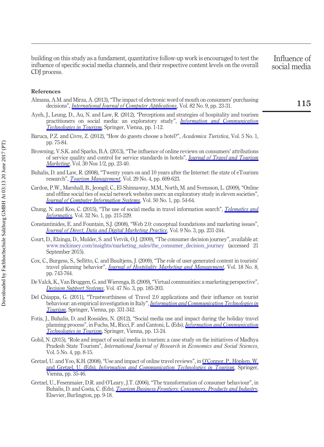building on this study as a fundament, quantitative follow-up work is encouraged to test the influence of specific social media channels, and their respective content levels on the overall CDJ process.

Influence of social media

#### **References**

- <span id="page-16-14"></span>Almana, A.M. and Mirza, A. (2013), "The impact of electronic word of mouth on consumers' purchasing decisions", *[International Journal of Computer Applications](http://www.emeraldinsight.com/action/showLinks?crossref=10.5120%2F14145-2286)*, Vol. 82 No. 9, pp. 23-31.
- <span id="page-16-6"></span>Ayeh, J., Leung, D., Au, N. and Law, R. (2012), "Perceptions and strategies of hospitality and tourism practitioners on social media: an exploratory study", *[Information and Communication](http://www.emeraldinsight.com/action/showLinks?crossref=10.1007%2F978-3-7091-1142-0_1) [Technologies in Tourism](http://www.emeraldinsight.com/action/showLinks?crossref=10.1007%2F978-3-7091-1142-0_1)*, Springer, Vienna, pp. 1-12.
- <span id="page-16-0"></span>Baruca, P.Z. and Civre, Z. (2012), "How do guests choose a hotel?", *Academica Turistica*, Vol. 5 No. 1, pp. 75-84.
- <span id="page-16-2"></span>Browning, V.S.K. and Sparks, B.A. (2013), "The influence of online reviews on consumers' attributions of service quality and control for service standards in hotels", *[Journal of Travel and Tourism](http://www.emeraldinsight.com/action/showLinks?crossref=10.1080%2F10548408.2013.750971&isi=000315583900003) [Marketing](http://www.emeraldinsight.com/action/showLinks?crossref=10.1080%2F10548408.2013.750971&isi=000315583900003)*, Vol. 30 Nos 1/2, pp. 23-40.
- <span id="page-16-3"></span>Buhalis, D. and Law, R. (2008), "Twenty years on and 10 years after the Internet: the state of eTourism research", *[Tourism Management](http://www.emeraldinsight.com/action/showLinks?crossref=10.1016%2Fj.tourman.2008.01.005&isi=000255585500001)*, Vol. 29 No. 4, pp. 609-623.
- <span id="page-16-7"></span>Cardon, P.W., Marshall, B., Jeongil, C., El-Shinnaway, M.M., North, M. and Svensson, L. (2009), "Online and offline social ties of social network websites users: an exploratory study in eleven societies", *[Journal of Computer Information Systems](http://www.emeraldinsight.com/action/showLinks?isi=000271789700006)*, Vol. 50 No. 1, pp. 54-64.
- <span id="page-16-10"></span>Chung, N. and Koo, C. (2015), "The use of social media in travel information search", *[Telematics and](http://www.emeraldinsight.com/action/showLinks?crossref=10.1016%2Fj.tele.2014.08.005) [Informatics](http://www.emeraldinsight.com/action/showLinks?crossref=10.1016%2Fj.tele.2014.08.005)*, Vol. 32 No. 1, pp. 215-229.
- <span id="page-16-9"></span>Constantinides, E. and Fountain, S.J. (2008), "Web 2.0: conceptual foundations and marketing issues", *[Journal of Direct, Data and Digital Marketing Practice](http://www.emeraldinsight.com/action/showLinks?crossref=10.1057%2Fpalgrave.dddmp.4350098)*, Vol. 9 No. 3, pp. 231-244.
- <span id="page-16-12"></span>Court, D., Elzinga, D., Mulder, S. and Vetvik, O.J. (2009), "The consumer decision journey", available at: [www.mckinsey.com/insights/marketing\\_sales/the\\_consumer\\_decision\\_journey](http://www.mckinsey.com/insights/marketing_sales/the_consumer_decision_journey) (accessed 21 September 2015).
- <span id="page-16-5"></span>Cox, C., Burgess, S., Sellitto, C. and Buultjens, J. (2009), "The role of user-generated content in tourists' travel planning behavior", *[Journal of Hospitality Marketing and Management](http://www.emeraldinsight.com/action/showLinks?crossref=10.1080%2F19368620903235753)*, Vol. 18 No. 8, pp. 743-764.
- <span id="page-16-8"></span>De Valck, K., Van Bruggen, G. and Wierenga, B. (2009), "Virtual communities: a marketing perspective", *[Decision Support Systems](http://www.emeraldinsight.com/action/showLinks?crossref=10.1016%2Fj.dss.2009.02.008&isi=000267627900003)*, Vol. 47 No. 3, pp. 185-203.
- <span id="page-16-11"></span>Del Chiappa, G. (2011), "Trustworthiness of Travel 2.0 applications and their influence on tourist behaviour: an empirical investigation in Italy", *[Information and Communication Technologies in](http://www.emeraldinsight.com/action/showLinks?crossref=10.1007%2F978-3-7091-0503-0_27) [Tourism](http://www.emeraldinsight.com/action/showLinks?crossref=10.1007%2F978-3-7091-0503-0_27)*, Springer, Vienna, pp. 331-342.
- <span id="page-16-1"></span>Fotis, J., Buhalis, D. and Rossides, N. (2012), "Social media use and impact during the holiday travel planning process", in Fuchs, M., Ricci, F. and Cantoni, L. (Eds), *[Information and Communication](http://www.emeraldinsight.com/action/showLinks?crossref=10.1007%2F978-3-7091-1142-0_2) [Technologies in Tourism](http://www.emeraldinsight.com/action/showLinks?crossref=10.1007%2F978-3-7091-1142-0_2)*, Springer, Vienna, pp. 13-24.
- <span id="page-16-4"></span>Gohil, N. (2015), "Role and impact of social media in tourism: a case study on the initiatives of Madhya Pradesh State Tourism", *International Journal of Research in Economics and Social Sciences*, Vol. 5 No. 4, pp. 8-15.
- <span id="page-16-13"></span>Gretzel, U. and Yoo, K.H. (2008), "Use and impact of online travel reviews", in [O'Connor, P., Höpken, W.](http://www.emeraldinsight.com/action/showLinks?crossref=10.1007%2F978-3-211-77280-5_4) and Gretzel, U. (Eds), *[Information and Communication Technologies in Tourism](http://www.emeraldinsight.com/action/showLinks?crossref=10.1007%2F978-3-211-77280-5_4)*, Springer, Vienna, pp. 35-46.
- <span id="page-16-15"></span>Gretzel, U., Fesenmaier, D.R. and O'Leary, J.T. (2006), "The transformation of consumer behaviour", in Buhalis, D. and Costa, C. (Eds), *[Tourism Business Frontiers: Consumers, Products and Industry](http://www.emeraldinsight.com/action/showLinks?crossref=10.1016%2FB978-0-7506-6377-9.50009-2)*, Elsevier, Burlington, pp. 9-18.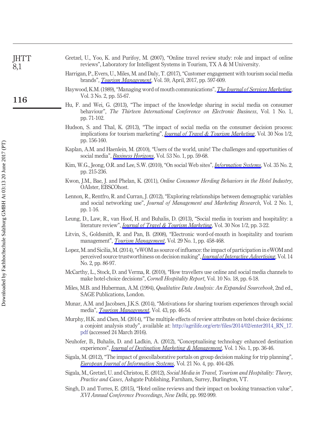<span id="page-17-19"></span><span id="page-17-16"></span><span id="page-17-14"></span><span id="page-17-0"></span>

| <b>JHTT</b><br>8,1 | Gretzel, U., Yoo, K. and Purifoy, M. (2007), "Online travel review study: role and impact of online<br>reviews", Laboratory for Intelligent Systems in Tourism, TX A & M University.                                                      |
|--------------------|-------------------------------------------------------------------------------------------------------------------------------------------------------------------------------------------------------------------------------------------|
|                    | Harrigan, P., Evers, U., Miles, M. and Daly, T. (2017), "Customer engagement with tourism social media<br>brands", <i>Tourism Management</i> , Vol. 59, April, 2017, pp. 597-609.                                                         |
| 116                | Haywood, K.M. (1989), "Managing word of mouth communications", <i>The Journal of Services Marketing</i> ,<br>Vol. 3 No. 2, pp. 55-67.                                                                                                     |
|                    | Hu, F. and Wei, G. (2013), "The impact of the knowledge sharing in social media on consumer<br>behaviour", The Thirteen International Conference on Electronic Business, Vol. 1 No. 1,<br>pp. 71-102.                                     |
|                    | Hudson, S. and Thal, K. (2013), "The impact of social media on the consumer decision process:<br>implications for tourism marketing", <i>Journal of Travel &amp; Tourism Marketing</i> , Vol. 30 Nos 1/2,<br>pp. 156-160.                 |
|                    | Kaplan, A.M. and Haenlein, M. (2010), "Users of the world, unite! The challenges and opportunities of<br>social media", <i>Business Horizons</i> , Vol. 53 No. 1, pp. 59-68.                                                              |
|                    | Kim, W.G., Jeong, O.R. and Lee, S.W. (2010), "On social Web sites", <i>Information Systems</i> , Vol. 35 No. 2,<br>pp. 215-236.                                                                                                           |
|                    | Kwon, J.M., Bae, J. and Phelan, K. (2011), <i>Online Consumer Herding Behaviors in the Hotel Industry</i> ,<br>OAIster, EBSCOhost.                                                                                                        |
|                    | Lennon, R., Rentfro, R. and Curran, J. (2012), "Exploring relationships between demographic variables<br>and social networking use", <i>Journal of Management and Marketing Research</i> , Vol. 2 No. 1,<br>pp. 1-16.                     |
|                    | Leung, D., Law, R., van Hoof, H. and Buhalis, D. (2013), "Social media in tourism and hospitality: a<br>literature review", <i>Journal of Travel &amp; Tourism Marketing</i> , Vol. 30 Nos 1/2, pp. 3-22.                                 |
|                    | Litvin, S., Goldsmith, R. and Pan, B. (2008), "Electronic word-of-mouth in hospitality and tourism<br>management", <i>Tourism Management</i> , Vol. 29 No. 1, pp. 458-468.                                                                |
|                    | Lopez, M. and Sicilia, M. (2014), "eWOM as source of influence: the impact of participation in eWOM and<br>perceived source trustworthiness on decision making", <i>Journal of Interactive Advertising</i> , Vol. 14<br>No. 2, pp. 86-97. |
|                    | McCarthy, L., Stock, D. and Verma, R. (2010), "How travellers use online and social media channels to<br>make hotel-choice decisions", <i>Cornell Hospitality Report</i> , Vol. 10 No. 18, pp. 6-18.                                      |
|                    | Miles, M.B. and Huberman, A.M. (1994), Qualitative Data Analysis: An Expanded Sourcebook, 2nd ed.,<br>SAGE Publications, London.                                                                                                          |
|                    | Munar, A.M. and Jacobsen, J.K.S. (2014), "Motivations for sharing tourism experiences through social<br>media", <i>Tourism Management</i> , Vol. 43, pp. 46-54.                                                                           |

<span id="page-17-17"></span><span id="page-17-13"></span><span id="page-17-9"></span><span id="page-17-7"></span><span id="page-17-5"></span><span id="page-17-3"></span>Downloaded by Fachhochschule Salzburg GMBH At 03:13 20 June 2017 (PT) Downloaded by Fachhochschule Salzburg GMBH At 03:13 20 June 2017 (PT)

- <span id="page-17-18"></span><span id="page-17-12"></span><span id="page-17-11"></span><span id="page-17-10"></span><span id="page-17-8"></span><span id="page-17-1"></span>Murphy, H.K. and Chen, M. (2014), "The multiple effects of review attributes on hotel choice decisions: a conjoint analysis study", available at: [http://agrilife.org/ertr/files/2014/02/enter2014\\_RN\\_17.](http://agrilife.org/ertr/files/2014/02/enter2014_RN_17.pdf) [pdf](http://agrilife.org/ertr/files/2014/02/enter2014_RN_17.pdf) (accessed 24 March 2016).
- <span id="page-17-2"></span>Neuhofer, B., Buhalis, D. and Ladkin, A. (2012), "Conceptualising technology enhanced destination experiences", *[Journal of Destination Marketing & Management](http://www.emeraldinsight.com/action/showLinks?crossref=10.1016%2Fj.jdmm.2012.08.001&isi=000209271700006)*, Vol. 1 No. 1, pp. 36-46.
- <span id="page-17-6"></span>Sigala, M. (2012), "The impact of geocollaborative portals on group decision making for trip planning", *[European Journal of Information Systems](http://www.emeraldinsight.com/action/showLinks?crossref=10.1057%2Fejis.2012.22&isi=000307610100006)*, Vol. 21 No. 4, pp. 404-426.
- <span id="page-17-4"></span>Sigala, M., Gretzel, U. and Christou, E. (2012), *Social Media in Travel, Tourism and Hospitality: Theory, Practice and Cases*, Ashgate Publishing, Farnham, Surrey, Burlington, VT.
- <span id="page-17-15"></span>Singh, D. and Torres, E. (2015), "Hotel online reviews and their impact on booking transaction value", *XVI Annual Conference Proceedings*, *New Delhi*, pp. 992-999.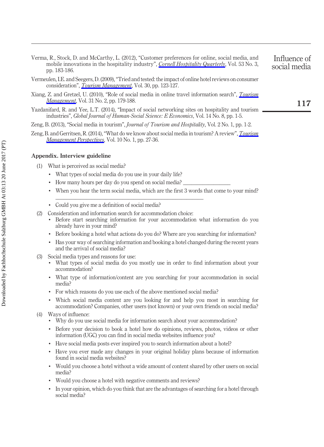- <span id="page-18-4"></span>Verma, R., Stock, D. and McCarthy, L. (2012), "Customer preferences for online, social media, and mobile innovations in the hospitality industry", *[Cornell Hospitality Quarterly](http://www.emeraldinsight.com/action/showLinks?crossref=10.1177%2F1938965512445161&isi=000306484100004)*, Vol. 53 No. 3, pp. 183-186.
- <span id="page-18-5"></span>Vermeulen, I.E. and Seegers, D. (2009), "Tried and tested: the impact of online hotel reviews on consumer consideration", *[Tourism Management](http://www.emeraldinsight.com/action/showLinks?crossref=10.1016%2Fj.tourman.2008.04.008&isi=000262054100015)*, Vol. 30, pp. 123-127.
- <span id="page-18-1"></span>Xiang, Z. and Gretzel, U. (2010), "Role of social media in online travel information search", *[Tourism](http://www.emeraldinsight.com/action/showLinks?crossref=10.1016%2Fj.tourman.2009.02.016&isi=000272921000003) [Management](http://www.emeraldinsight.com/action/showLinks?crossref=10.1016%2Fj.tourman.2009.02.016&isi=000272921000003)*, Vol. 31 No. 2, pp. 179-188.
- <span id="page-18-3"></span>Yazdanifard, R. and Yee, L.T. (2014), "Impact of social networking sites on hospitality and tourism industries", *Global Journal of Human-Social Science: E Economics*, Vol. 14 No. 8, pp. 1-5.
- <span id="page-18-2"></span>Zeng, B. (2013), "Social media in tourism", *Journal of Tourism and Hospitality*, Vol. 2 No. 1, pp. 1-2.
- <span id="page-18-0"></span>Zeng, B. and Gerritsen, R. (2014), "What do we know about social media in tourism? A review",*[Tourism](http://www.emeraldinsight.com/action/showLinks?crossref=10.1016%2Fj.tmp.2014.01.001) [Management Perspectives](http://www.emeraldinsight.com/action/showLinks?crossref=10.1016%2Fj.tmp.2014.01.001)*, Vol. 10 No. 1, pp. 27-36.

#### **Appendix. Interview guideline**

- (1) What is perceived as social media?
	- What types of social media do you use in your daily life?
	- How many hours per day do you spend on social media?

<span id="page-18-6"></span>\_\_\_\_\_\_\_\_\_\_\_\_\_\_\_\_\_\_\_\_\_\_\_\_\_\_\_\_\_\_\_\_\_\_\_\_\_\_\_\_\_\_\_\_\_\_\_\_\_\_\_\_\_

- When you hear the term social media, which are the first 3 words that come to your mind?
- Could you give me a definition of social media?
- (2) Consideration and information search for accommodation choice:
	- Before start searching information for your accommodation what information do you already have in your mind?
	- Before booking a hotel what actions do you do? Where are you searching for information?
	- Has your way of searching information and booking a hotel changed during the recent years and the arrival of social media?
- (3) Social media types and reasons for use:
	- What types of social media do you mostly use in order to find information about your accommodation?
	- What type of information/content are you searching for your accommodation in social media?
	- For which reasons do you use each of the above mentioned social media?
	- Which social media content are you looking for and help you most in searching for accommodation? Companies, other users (not known) or your own friends on social media?
- (4) Ways of influence:
	- Why do you use social media for information search about your accommodation?
	- Before your decision to book a hotel how do opinions, reviews, photos, videos or other information (UGC) you can find in social media websites influence you?
	- Have social media posts ever inspired you to search information about a hotel?
	- Have you ever made any changes in your original holiday plans because of information found in social media websites?
	- Would you choose a hotel without a wide amount of content shared by other users on social media?
	- Would you choose a hotel with negative comments and reviews?
	- In your opinion, which do you think that are the advantages of searching for a hotel through social media?

Influence of social media